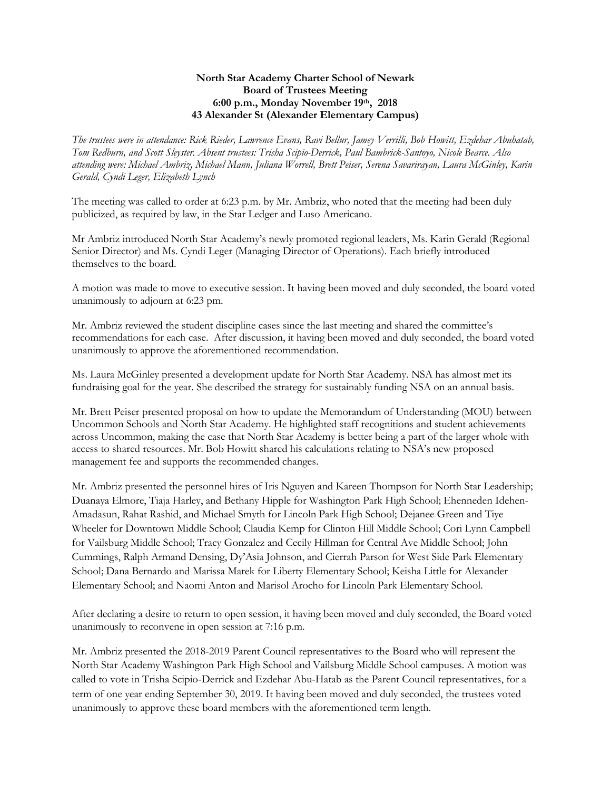## **North Star Academy Charter School of Newark Board of Trustees Meeting 6:00 p.m., Monday November 19th, 2018 43 Alexander St (Alexander Elementary Campus)**

*The trustees were in attendance: Rick Rieder, Lawrence Evans, Ravi Bellur, Jamey Verrilli, Bob Howitt, Ezdehar Abuhatab, Tom Redburn, and Scott Sleyster. Absent trustees: Trisha Scipio-Derrick, Paul Bambrick-Santoyo, Nicole Bearce. Also attending were: Michael Ambriz, Michael Mann, Juliana Worrell, Brett Peiser, Serena Savarirayan, Laura McGinley, Karin Gerald, Cyndi Leger, Elizabeth Lynch*

The meeting was called to order at 6:23 p.m. by Mr. Ambriz, who noted that the meeting had been duly publicized, as required by law, in the Star Ledger and Luso Americano.

Mr Ambriz introduced North Star Academy's newly promoted regional leaders, Ms. Karin Gerald (Regional Senior Director) and Ms. Cyndi Leger (Managing Director of Operations). Each briefly introduced themselves to the board.

A motion was made to move to executive session. It having been moved and duly seconded, the board voted unanimously to adjourn at 6:23 pm.

Mr. Ambriz reviewed the student discipline cases since the last meeting and shared the committee's recommendations for each case. After discussion, it having been moved and duly seconded, the board voted unanimously to approve the aforementioned recommendation.

Ms. Laura McGinley presented a development update for North Star Academy. NSA has almost met its fundraising goal for the year. She described the strategy for sustainably funding NSA on an annual basis.

Mr. Brett Peiser presented proposal on how to update the Memorandum of Understanding (MOU) between Uncommon Schools and North Star Academy. He highlighted staff recognitions and student achievements across Uncommon, making the case that North Star Academy is better being a part of the larger whole with access to shared resources. Mr. Bob Howitt shared his calculations relating to NSA's new proposed management fee and supports the recommended changes.

Mr. Ambriz presented the personnel hires of Iris Nguyen and Kareen Thompson for North Star Leadership; Duanaya Elmore, Tiaja Harley, and Bethany Hipple for Washington Park High School; Ehenneden Idehen-Amadasun, Rahat Rashid, and Michael Smyth for Lincoln Park High School; Dejanee Green and Tiye Wheeler for Downtown Middle School; Claudia Kemp for Clinton Hill Middle School; Cori Lynn Campbell for Vailsburg Middle School; Tracy Gonzalez and Cecily Hillman for Central Ave Middle School; John Cummings, Ralph Armand Densing, Dy'Asia Johnson, and Cierrah Parson for West Side Park Elementary School; Dana Bernardo and Marissa Marek for Liberty Elementary School; Keisha Little for Alexander Elementary School; and Naomi Anton and Marisol Arocho for Lincoln Park Elementary School.

After declaring a desire to return to open session, it having been moved and duly seconded, the Board voted unanimously to reconvene in open session at 7:16 p.m.

Mr. Ambriz presented the 2018-2019 Parent Council representatives to the Board who will represent the North Star Academy Washington Park High School and Vailsburg Middle School campuses. A motion was called to vote in Trisha Scipio-Derrick and Ezdehar Abu-Hatab as the Parent Council representatives, for a term of one year ending September 30, 2019. It having been moved and duly seconded, the trustees voted unanimously to approve these board members with the aforementioned term length.